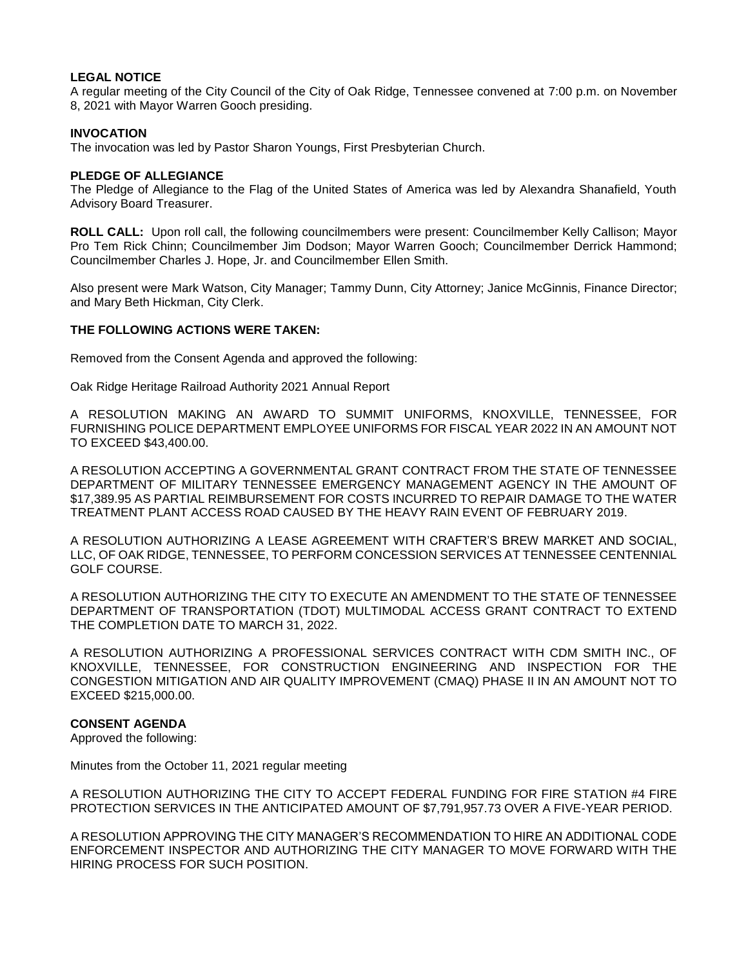# **LEGAL NOTICE**

A regular meeting of the City Council of the City of Oak Ridge, Tennessee convened at 7:00 p.m. on November 8, 2021 with Mayor Warren Gooch presiding.

# **INVOCATION**

The invocation was led by Pastor Sharon Youngs, First Presbyterian Church.

#### **PLEDGE OF ALLEGIANCE**

The Pledge of Allegiance to the Flag of the United States of America was led by Alexandra Shanafield, Youth Advisory Board Treasurer.

**ROLL CALL:** Upon roll call, the following councilmembers were present: Councilmember Kelly Callison; Mayor Pro Tem Rick Chinn; Councilmember Jim Dodson; Mayor Warren Gooch; Councilmember Derrick Hammond; Councilmember Charles J. Hope, Jr. and Councilmember Ellen Smith.

Also present were Mark Watson, City Manager; Tammy Dunn, City Attorney; Janice McGinnis, Finance Director; and Mary Beth Hickman, City Clerk.

# **THE FOLLOWING ACTIONS WERE TAKEN:**

Removed from the Consent Agenda and approved the following:

Oak Ridge Heritage Railroad Authority 2021 Annual Report

A RESOLUTION MAKING AN AWARD TO SUMMIT UNIFORMS, KNOXVILLE, TENNESSEE, FOR FURNISHING POLICE DEPARTMENT EMPLOYEE UNIFORMS FOR FISCAL YEAR 2022 IN AN AMOUNT NOT TO EXCEED \$43,400.00.

A RESOLUTION ACCEPTING A GOVERNMENTAL GRANT CONTRACT FROM THE STATE OF TENNESSEE DEPARTMENT OF MILITARY TENNESSEE EMERGENCY MANAGEMENT AGENCY IN THE AMOUNT OF \$17,389.95 AS PARTIAL REIMBURSEMENT FOR COSTS INCURRED TO REPAIR DAMAGE TO THE WATER TREATMENT PLANT ACCESS ROAD CAUSED BY THE HEAVY RAIN EVENT OF FEBRUARY 2019.

A RESOLUTION AUTHORIZING A LEASE AGREEMENT WITH CRAFTER'S BREW MARKET AND SOCIAL, LLC, OF OAK RIDGE, TENNESSEE, TO PERFORM CONCESSION SERVICES AT TENNESSEE CENTENNIAL GOLF COURSE.

A RESOLUTION AUTHORIZING THE CITY TO EXECUTE AN AMENDMENT TO THE STATE OF TENNESSEE DEPARTMENT OF TRANSPORTATION (TDOT) MULTIMODAL ACCESS GRANT CONTRACT TO EXTEND THE COMPLETION DATE TO MARCH 31, 2022.

A RESOLUTION AUTHORIZING A PROFESSIONAL SERVICES CONTRACT WITH CDM SMITH INC., OF KNOXVILLE, TENNESSEE, FOR CONSTRUCTION ENGINEERING AND INSPECTION FOR THE CONGESTION MITIGATION AND AIR QUALITY IMPROVEMENT (CMAQ) PHASE II IN AN AMOUNT NOT TO EXCEED \$215,000.00.

### **CONSENT AGENDA**

Approved the following:

Minutes from the October 11, 2021 regular meeting

A RESOLUTION AUTHORIZING THE CITY TO ACCEPT FEDERAL FUNDING FOR FIRE STATION #4 FIRE PROTECTION SERVICES IN THE ANTICIPATED AMOUNT OF \$7,791,957.73 OVER A FIVE-YEAR PERIOD.

A RESOLUTION APPROVING THE CITY MANAGER'S RECOMMENDATION TO HIRE AN ADDITIONAL CODE ENFORCEMENT INSPECTOR AND AUTHORIZING THE CITY MANAGER TO MOVE FORWARD WITH THE HIRING PROCESS FOR SUCH POSITION.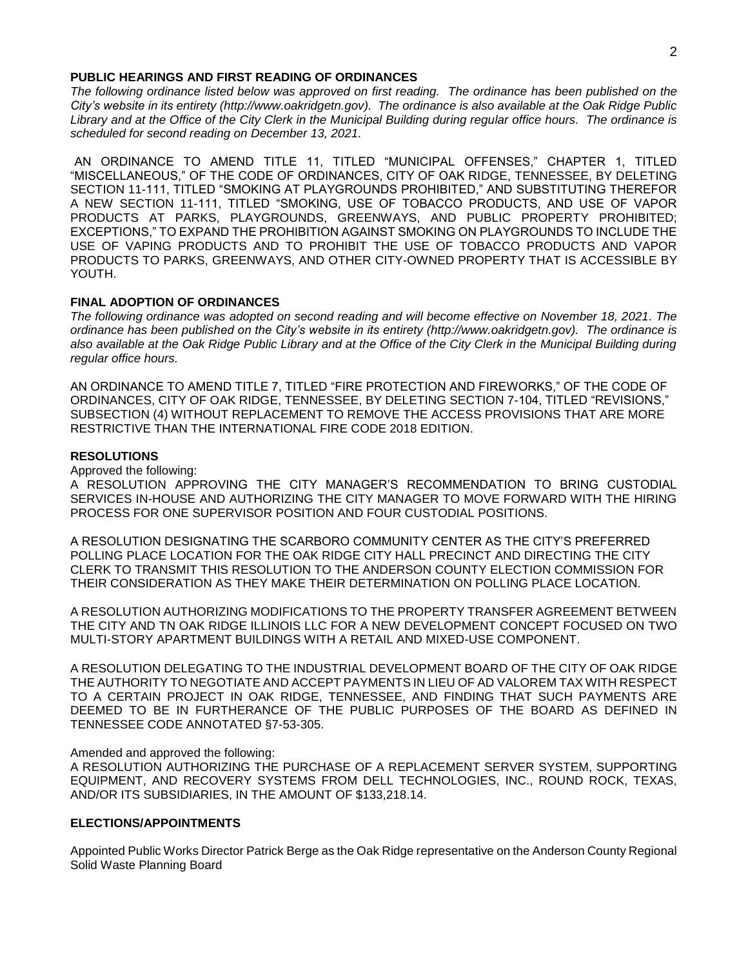#### **PUBLIC HEARINGS AND FIRST READING OF ORDINANCES**

*The following ordinance listed below was approved on first reading. The ordinance has been published on the City's website in its entirety (http://www.oakridgetn.gov). The ordinance is also available at the Oak Ridge Public Library and at the Office of the City Clerk in the Municipal Building during regular office hours. The ordinance is scheduled for second reading on December 13, 2021.* 

AN ORDINANCE TO AMEND TITLE 11, TITLED "MUNICIPAL OFFENSES," CHAPTER 1, TITLED "MISCELLANEOUS," OF THE CODE OF ORDINANCES, CITY OF OAK RIDGE, TENNESSEE, BY DELETING SECTION 11-111, TITLED "SMOKING AT PLAYGROUNDS PROHIBITED," AND SUBSTITUTING THEREFOR A NEW SECTION 11-111, TITLED "SMOKING, USE OF TOBACCO PRODUCTS, AND USE OF VAPOR PRODUCTS AT PARKS, PLAYGROUNDS, GREENWAYS, AND PUBLIC PROPERTY PROHIBITED; EXCEPTIONS," TO EXPAND THE PROHIBITION AGAINST SMOKING ON PLAYGROUNDS TO INCLUDE THE USE OF VAPING PRODUCTS AND TO PROHIBIT THE USE OF TOBACCO PRODUCTS AND VAPOR PRODUCTS TO PARKS, GREENWAYS, AND OTHER CITY-OWNED PROPERTY THAT IS ACCESSIBLE BY YOUTH.

# **FINAL ADOPTION OF ORDINANCES**

*The following ordinance was adopted on second reading and will become effective on November 18, 2021. The ordinance has been published on the City's website in its entirety (http://www.oakridgetn.gov). The ordinance is* also available at the Oak Ridge Public Library and at the Office of the City Clerk in the Municipal Building during *regular office hours.*

AN ORDINANCE TO AMEND TITLE 7, TITLED "FIRE PROTECTION AND FIREWORKS," OF THE CODE OF ORDINANCES, CITY OF OAK RIDGE, TENNESSEE, BY DELETING SECTION 7-104, TITLED "REVISIONS," SUBSECTION (4) WITHOUT REPLACEMENT TO REMOVE THE ACCESS PROVISIONS THAT ARE MORE RESTRICTIVE THAN THE INTERNATIONAL FIRE CODE 2018 EDITION.

# **RESOLUTIONS**

Approved the following:

A RESOLUTION APPROVING THE CITY MANAGER'S RECOMMENDATION TO BRING CUSTODIAL SERVICES IN-HOUSE AND AUTHORIZING THE CITY MANAGER TO MOVE FORWARD WITH THE HIRING PROCESS FOR ONE SUPERVISOR POSITION AND FOUR CUSTODIAL POSITIONS.

A RESOLUTION DESIGNATING THE SCARBORO COMMUNITY CENTER AS THE CITY'S PREFERRED POLLING PLACE LOCATION FOR THE OAK RIDGE CITY HALL PRECINCT AND DIRECTING THE CITY CLERK TO TRANSMIT THIS RESOLUTION TO THE ANDERSON COUNTY ELECTION COMMISSION FOR THEIR CONSIDERATION AS THEY MAKE THEIR DETERMINATION ON POLLING PLACE LOCATION.

A RESOLUTION AUTHORIZING MODIFICATIONS TO THE PROPERTY TRANSFER AGREEMENT BETWEEN THE CITY AND TN OAK RIDGE ILLINOIS LLC FOR A NEW DEVELOPMENT CONCEPT FOCUSED ON TWO MULTI-STORY APARTMENT BUILDINGS WITH A RETAIL AND MIXED-USE COMPONENT.

A RESOLUTION DELEGATING TO THE INDUSTRIAL DEVELOPMENT BOARD OF THE CITY OF OAK RIDGE THE AUTHORITY TO NEGOTIATE AND ACCEPT PAYMENTS IN LIEU OF AD VALOREM TAX WITH RESPECT TO A CERTAIN PROJECT IN OAK RIDGE, TENNESSEE, AND FINDING THAT SUCH PAYMENTS ARE DEEMED TO BE IN FURTHERANCE OF THE PUBLIC PURPOSES OF THE BOARD AS DEFINED IN TENNESSEE CODE ANNOTATED §7-53-305.

Amended and approved the following:

A RESOLUTION AUTHORIZING THE PURCHASE OF A REPLACEMENT SERVER SYSTEM, SUPPORTING EQUIPMENT, AND RECOVERY SYSTEMS FROM DELL TECHNOLOGIES, INC., ROUND ROCK, TEXAS, AND/OR ITS SUBSIDIARIES, IN THE AMOUNT OF \$133,218.14.

# **ELECTIONS/APPOINTMENTS**

Appointed Public Works Director Patrick Berge as the Oak Ridge representative on the Anderson County Regional Solid Waste Planning Board